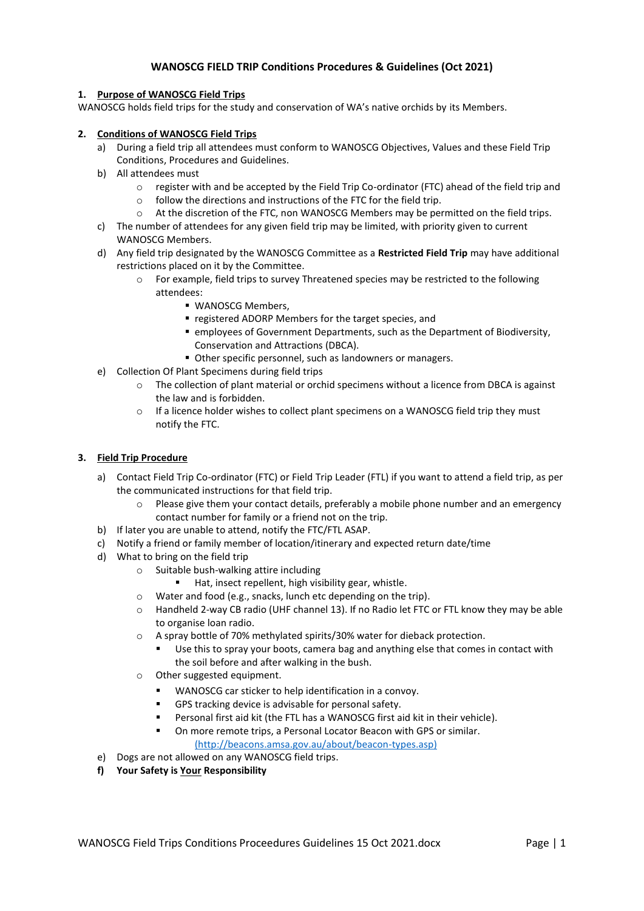# **WANOSCG FIELD TRIP Conditions Procedures & Guidelines (Oct 2021)**

# **1. Purpose of WANOSCG Field Trips**

WANOSCG holds field trips for the study and conservation of WA's native orchids by its Members.

# **2. Conditions of WANOSCG Field Trips**

- a) During a field trip all attendees must conform to WANOSCG Objectives, Values and these Field Trip Conditions, Procedures and Guidelines.
- b) All attendees must
	- $\circ$  register with and be accepted by the Field Trip Co-ordinator (FTC) ahead of the field trip and
	- o follow the directions and instructions of the FTC for the field trip.
	- o At the discretion of the FTC, non WANOSCG Members may be permitted on the field trips.
- c) The number of attendees for any given field trip may be limited, with priority given to current WANOSCG Members.
- d) Any field trip designated by the WANOSCG Committee as a **Restricted Field Trip** may have additional restrictions placed on it by the Committee.
	- o For example, field trips to survey Threatened species may be restricted to the following attendees:
		- WANOSCG Members,
		- registered ADORP Members for the target species, and
		- employees of Government Departments, such as the Department of Biodiversity, Conservation and Attractions (DBCA).
		- Other specific personnel, such as landowners or managers.
- e) Collection Of Plant Specimens during field trips
	- $\circ$  The collection of plant material or orchid specimens without a licence from DBCA is against the law and is forbidden.
	- o If a licence holder wishes to collect plant specimens on a WANOSCG field trip they must notify the FTC.

# **3. Field Trip Procedure**

- a) Contact Field Trip Co-ordinator (FTC) or Field Trip Leader (FTL) if you want to attend a field trip, as per the communicated instructions for that field trip.
	- $\circ$  Please give them your contact details, preferably a mobile phone number and an emergency contact number for family or a friend not on the trip.
- b) If later you are unable to attend, notify the FTC/FTL ASAP.
- c) Notify a friend or family member of location/itinerary and expected return date/time
- d) What to bring on the field trip
	- o Suitable bush-walking attire including
		- Hat, insect repellent, high visibility gear, whistle.
	- o Water and food (e.g., snacks, lunch etc depending on the trip).
	- o Handheld 2-way CB radio (UHF channel 13). If no Radio let FTC or FTL know they may be able to organise loan radio.
	- o A spray bottle of 70% methylated spirits/30% water for dieback protection.
		- Use this to spray your boots, camera bag and anything else that comes in contact with the soil before and after walking in the bush.
	- o Other suggested equipment.
		- WANOSCG car sticker to help identification in a convoy.
		- GPS tracking device is advisable for personal safety.
		- Personal first aid kit (the FTL has a WANOSCG first aid kit in their vehicle).
		- On more remote trips, a Personal Locator Beacon with GPS or similar.

[\(http://beacons.amsa.gov.au/about/beacon-types.asp\)](file:///d:/Users/Graham%20Warren/Documents/WANOSCG/(http:/beacons.amsa.gov.au/about/beacon-types.asp))

- e) Dogs are not allowed on any WANOSCG field trips.
- **f) Your Safety is Your Responsibility**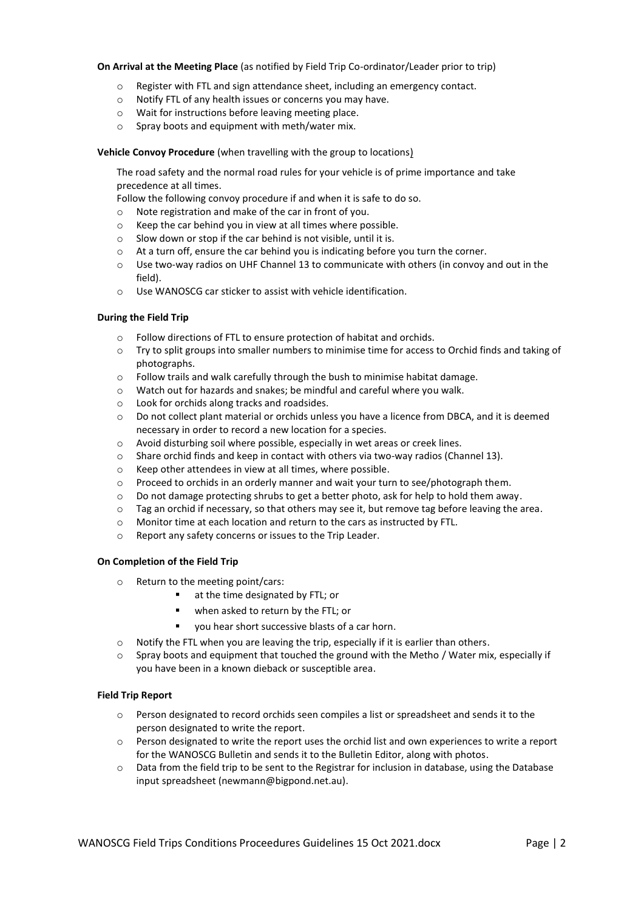### **On Arrival at the Meeting Place** (as notified by Field Trip Co-ordinator/Leader prior to trip)

- o Register with FTL and sign attendance sheet, including an emergency contact.
- o Notify FTL of any health issues or concerns you may have.
- o Wait for instructions before leaving meeting place.
- o Spray boots and equipment with meth/water mix.

## **Vehicle Convoy Procedure** (when travelling with the group to locations)

The road safety and the normal road rules for your vehicle is of prime importance and take precedence at all times.

Follow the following convoy procedure if and when it is safe to do so.

- o Note registration and make of the car in front of you.
- o Keep the car behind you in view at all times where possible.
- o Slow down or stop if the car behind is not visible, until it is.
- o At a turn off, ensure the car behind you is indicating before you turn the corner.
- o Use two-way radios on UHF Channel 13 to communicate with others (in convoy and out in the field).
- o Use WANOSCG car sticker to assist with vehicle identification.

### **During the Field Trip**

- o Follow directions of FTL to ensure protection of habitat and orchids.
- o Try to split groups into smaller numbers to minimise time for access to Orchid finds and taking of photographs.
- o Follow trails and walk carefully through the bush to minimise habitat damage.
- o Watch out for hazards and snakes; be mindful and careful where you walk.
- o Look for orchids along tracks and roadsides.
- o Do not collect plant material or orchids unless you have a licence from DBCA, and it is deemed necessary in order to record a new location for a species.
- o Avoid disturbing soil where possible, especially in wet areas or creek lines.
- o Share orchid finds and keep in contact with others via two-way radios (Channel 13).
- o Keep other attendees in view at all times, where possible.
- $\circ$  Proceed to orchids in an orderly manner and wait your turn to see/photograph them.
- o Do not damage protecting shrubs to get a better photo, ask for help to hold them away.
- o Tag an orchid if necessary, so that others may see it, but remove tag before leaving the area.
- o Monitor time at each location and return to the cars as instructed by FTL.
- o Report any safety concerns or issues to the Trip Leader.

# **On Completion of the Field Trip**

- o Return to the meeting point/cars:
	- at the time designated by FTL; or
	- when asked to return by the FTL; or
	- vou hear short successive blasts of a car horn.
- o Notify the FTL when you are leaving the trip, especially if it is earlier than others.
- Spray boots and equipment that touched the ground with the Metho / Water mix, especially if you have been in a known dieback or susceptible area.

# **Field Trip Report**

- o Person designated to record orchids seen compiles a list or spreadsheet and sends it to the person designated to write the report.
- $\circ$  Person designated to write the report uses the orchid list and own experiences to write a report for the WANOSCG Bulletin and sends it to the Bulletin Editor, along with photos.
- o Data from the field trip to be sent to the Registrar for inclusion in database, using the Database input spreadsheet (newmann@bigpond.net.au).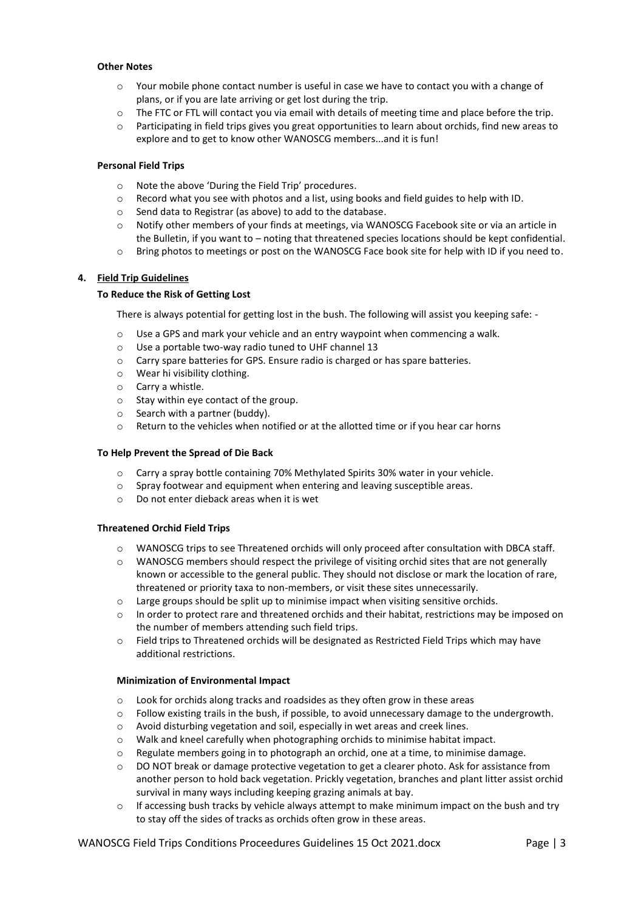## **Other Notes**

- o Your mobile phone contact number is useful in case we have to contact you with a change of plans, or if you are late arriving or get lost during the trip.
- o The FTC or FTL will contact you via email with details of meeting time and place before the trip.
- $\circ$  Participating in field trips gives you great opportunities to learn about orchids, find new areas to explore and to get to know other WANOSCG members...and it is fun!

#### **Personal Field Trips**

- o Note the above 'During the Field Trip' procedures.
- o Record what you see with photos and a list, using books and field guides to help with ID.
- o Send data to Registrar (as above) to add to the database.
- o Notify other members of your finds at meetings, via WANOSCG Facebook site or via an article in the Bulletin, if you want to – noting that threatened species locations should be kept confidential.
- o Bring photos to meetings or post on the WANOSCG Face book site for help with ID if you need to.

### **4. Field Trip Guidelines**

### **To Reduce the Risk of Getting Lost**

There is always potential for getting lost in the bush. The following will assist you keeping safe: -

- $\circ$  Use a GPS and mark your vehicle and an entry waypoint when commencing a walk.
- o Use a portable two-way radio tuned to UHF channel 13
- o Carry spare batteries for GPS. Ensure radio is charged or has spare batteries.
- o Wear hi visibility clothing.
- o Carry a whistle.
- o Stay within eye contact of the group.
- o Search with a partner (buddy).
- o Return to the vehicles when notified or at the allotted time or if you hear car horns

### **To Help Prevent the Spread of Die Back**

- o Carry a spray bottle containing 70% Methylated Spirits 30% water in your vehicle.
- $\circ$  Spray footwear and equipment when entering and leaving susceptible areas.
- o Do not enter dieback areas when it is wet

#### **Threatened Orchid Field Trips**

- o WANOSCG trips to see Threatened orchids will only proceed after consultation with DBCA staff.
- $\circ$  WANOSCG members should respect the privilege of visiting orchid sites that are not generally known or accessible to the general public. They should not disclose or mark the location of rare, threatened or priority taxa to non-members, or visit these sites unnecessarily.
- $\circ$  Large groups should be split up to minimise impact when visiting sensitive orchids.
- o In order to protect rare and threatened orchids and their habitat, restrictions may be imposed on the number of members attending such field trips.
- o Field trips to Threatened orchids will be designated as Restricted Field Trips which may have additional restrictions.

## **Minimization of Environmental Impact**

- o Look for orchids along tracks and roadsides as they often grow in these areas
- $\circ$  Follow existing trails in the bush, if possible, to avoid unnecessary damage to the undergrowth.
- o Avoid disturbing vegetation and soil, especially in wet areas and creek lines.
- o Walk and kneel carefully when photographing orchids to minimise habitat impact.
- $\circ$  Regulate members going in to photograph an orchid, one at a time, to minimise damage.
- o DO NOT break or damage protective vegetation to get a clearer photo. Ask for assistance from another person to hold back vegetation. Prickly vegetation, branches and plant litter assist orchid survival in many ways including keeping grazing animals at bay.
- $\circ$  If accessing bush tracks by vehicle always attempt to make minimum impact on the bush and try to stay off the sides of tracks as orchids often grow in these areas.

WANOSCG Field Trips Conditions Proceedures Guidelines 15 Oct 2021.docx Page | 3